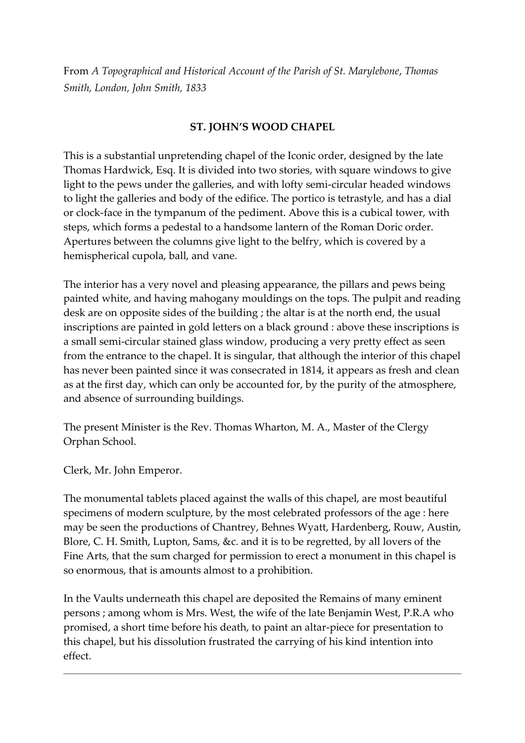From *A Topographical and Historical Account of the Parish of St. Marylebone*, *Thomas Smith, London, John Smith, 1833*

# **ST. JOHN'S WOOD CHAPEL**

This is a substantial unpretending chapel of the Iconic order, designed by the late Thomas Hardwick, Esq. It is divided into two stories, with square windows to give light to the pews under the galleries, and with lofty semi-circular headed windows to light the galleries and body of the edifice. The portico is tetrastyle, and has a dial or clock-face in the tympanum of the pediment. Above this is a cubical tower, with steps, which forms a pedestal to a handsome lantern of the Roman Doric order. Apertures between the columns give light to the belfry, which is covered by a hemispherical cupola, ball, and vane.

The interior has a very novel and pleasing appearance, the pillars and pews being painted white, and having mahogany mouldings on the tops. The pulpit and reading desk are on opposite sides of the building ; the altar is at the north end, the usual inscriptions are painted in gold letters on a black ground : above these inscriptions is a small semi-circular stained glass window, producing a very pretty effect as seen from the entrance to the chapel. It is singular, that although the interior of this chapel has never been painted since it was consecrated in 1814, it appears as fresh and clean as at the first day, which can only be accounted for, by the purity of the atmosphere, and absence of surrounding buildings.

The present Minister is the Rev. Thomas Wharton, M. A., Master of the Clergy Orphan School.

Clerk, Mr. John Emperor.

The monumental tablets placed against the walls of this chapel, are most beautiful specimens of modern sculpture, by the most celebrated professors of the age : here may be seen the productions of Chantrey, Behnes Wyatt, Hardenberg, Rouw, Austin, Blore, C. H. Smith, Lupton, Sams, &c. and it is to be regretted, by all lovers of the Fine Arts, that the sum charged for permission to erect a monument in this chapel is so enormous, that is amounts almost to a prohibition.

In the Vaults underneath this chapel are deposited the Remains of many eminent persons ; among whom is Mrs. West, the wife of the late Benjamin West, P.R.A who promised, a short time before his death, to paint an altar-piece for presentation to this chapel, but his dissolution frustrated the carrying of his kind intention into effect.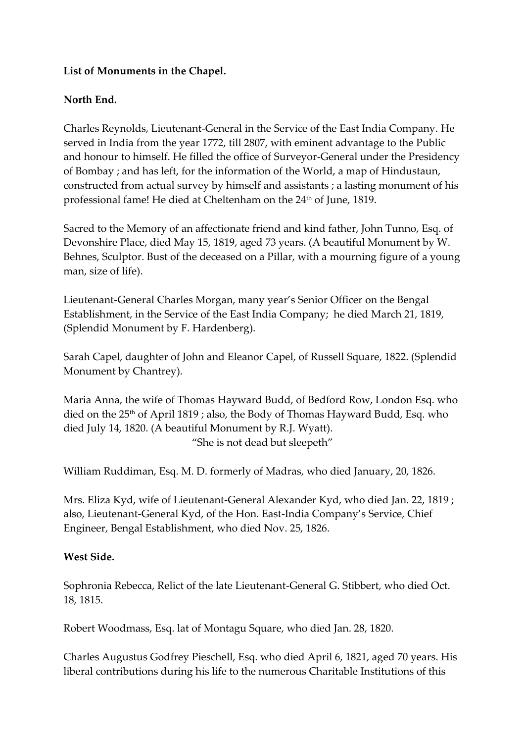#### **List of Monuments in the Chapel.**

# **North End.**

Charles Reynolds, Lieutenant-General in the Service of the East India Company. He served in India from the year 1772, till 2807, with eminent advantage to the Public and honour to himself. He filled the office of Surveyor-General under the Presidency of Bombay ; and has left, for the information of the World, a map of Hindustaun, constructed from actual survey by himself and assistants ; a lasting monument of his professional fame! He died at Cheltenham on the 24<sup>th</sup> of June, 1819.

Sacred to the Memory of an affectionate friend and kind father, John Tunno, Esq. of Devonshire Place, died May 15, 1819, aged 73 years. (A beautiful Monument by W. Behnes, Sculptor. Bust of the deceased on a Pillar, with a mourning figure of a young man, size of life).

Lieutenant-General Charles Morgan, many year's Senior Officer on the Bengal Establishment, in the Service of the East India Company; he died March 21, 1819, (Splendid Monument by F. Hardenberg).

Sarah Capel, daughter of John and Eleanor Capel, of Russell Square, 1822. (Splendid Monument by Chantrey).

Maria Anna, the wife of Thomas Hayward Budd, of Bedford Row, London Esq. who died on the 25<sup>th</sup> of April 1819; also, the Body of Thomas Hayward Budd, Esq. who died July 14, 1820. (A beautiful Monument by R.J. Wyatt). "She is not dead but sleepeth"

William Ruddiman, Esq. M. D. formerly of Madras, who died January, 20, 1826.

Mrs. Eliza Kyd, wife of Lieutenant-General Alexander Kyd, who died Jan. 22, 1819 ; also, Lieutenant-General Kyd, of the Hon. East-India Company's Service, Chief Engineer, Bengal Establishment, who died Nov. 25, 1826.

#### **West Side.**

Sophronia Rebecca, Relict of the late Lieutenant-General G. Stibbert, who died Oct. 18, 1815.

Robert Woodmass, Esq. lat of Montagu Square, who died Jan. 28, 1820.

Charles Augustus Godfrey Pieschell, Esq. who died April 6, 1821, aged 70 years. His liberal contributions during his life to the numerous Charitable Institutions of this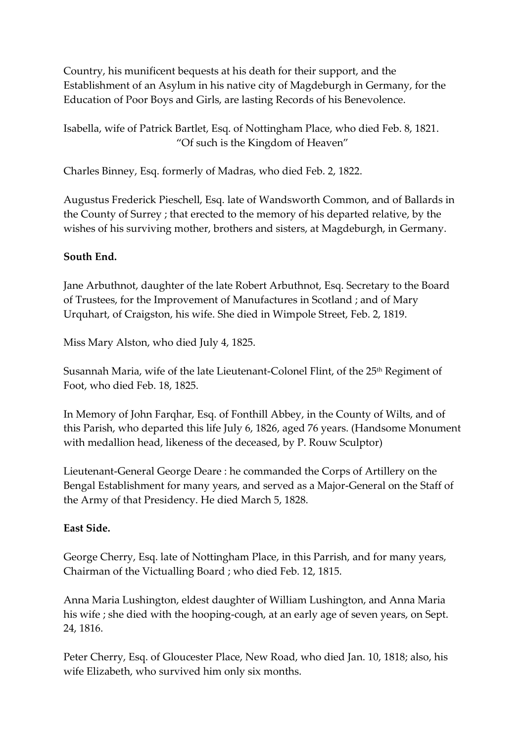Country, his munificent bequests at his death for their support, and the Establishment of an Asylum in his native city of Magdeburgh in Germany, for the Education of Poor Boys and Girls, are lasting Records of his Benevolence.

Isabella, wife of Patrick Bartlet, Esq. of Nottingham Place, who died Feb. 8, 1821. "Of such is the Kingdom of Heaven"

Charles Binney, Esq. formerly of Madras, who died Feb. 2, 1822.

Augustus Frederick Pieschell, Esq. late of Wandsworth Common, and of Ballards in the County of Surrey ; that erected to the memory of his departed relative, by the wishes of his surviving mother, brothers and sisters, at Magdeburgh, in Germany.

## **South End.**

Jane Arbuthnot, daughter of the late Robert Arbuthnot, Esq. Secretary to the Board of Trustees, for the Improvement of Manufactures in Scotland ; and of Mary Urquhart, of Craigston, his wife. She died in Wimpole Street, Feb. 2, 1819.

Miss Mary Alston, who died July 4, 1825.

Susannah Maria, wife of the late Lieutenant-Colonel Flint, of the 25<sup>th</sup> Regiment of Foot, who died Feb. 18, 1825.

In Memory of John Farqhar, Esq. of Fonthill Abbey, in the County of Wilts, and of this Parish, who departed this life July 6, 1826, aged 76 years. (Handsome Monument with medallion head, likeness of the deceased, by P. Rouw Sculptor)

Lieutenant-General George Deare : he commanded the Corps of Artillery on the Bengal Establishment for many years, and served as a Major-General on the Staff of the Army of that Presidency. He died March 5, 1828.

#### **East Side.**

George Cherry, Esq. late of Nottingham Place, in this Parrish, and for many years, Chairman of the Victualling Board ; who died Feb. 12, 1815.

Anna Maria Lushington, eldest daughter of William Lushington, and Anna Maria his wife ; she died with the hooping-cough, at an early age of seven years, on Sept. 24, 1816.

Peter Cherry, Esq. of Gloucester Place, New Road, who died Jan. 10, 1818; also, his wife Elizabeth, who survived him only six months.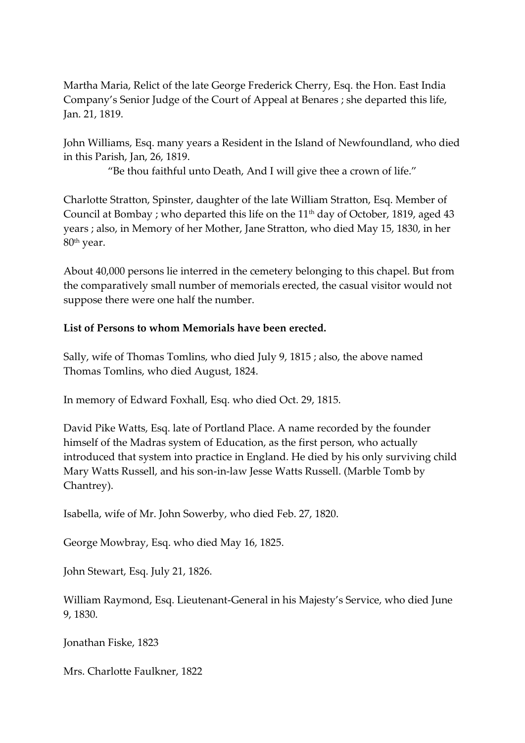Martha Maria, Relict of the late George Frederick Cherry, Esq. the Hon. East India Company's Senior Judge of the Court of Appeal at Benares ; she departed this life, Jan. 21, 1819.

John Williams, Esq. many years a Resident in the Island of Newfoundland, who died in this Parish, Jan, 26, 1819.

"Be thou faithful unto Death, And I will give thee a crown of life."

Charlotte Stratton, Spinster, daughter of the late William Stratton, Esq. Member of Council at Bombay ; who departed this life on the  $11<sup>th</sup>$  day of October, 1819, aged 43 years ; also, in Memory of her Mother, Jane Stratton, who died May 15, 1830, in her 80th year.

About 40,000 persons lie interred in the cemetery belonging to this chapel. But from the comparatively small number of memorials erected, the casual visitor would not suppose there were one half the number.

# **List of Persons to whom Memorials have been erected.**

Sally, wife of Thomas Tomlins, who died July 9, 1815 ; also, the above named Thomas Tomlins, who died August, 1824.

In memory of Edward Foxhall, Esq. who died Oct. 29, 1815.

David Pike Watts, Esq. late of Portland Place. A name recorded by the founder himself of the Madras system of Education, as the first person, who actually introduced that system into practice in England. He died by his only surviving child Mary Watts Russell, and his son-in-law Jesse Watts Russell. (Marble Tomb by Chantrey).

Isabella, wife of Mr. John Sowerby, who died Feb. 27, 1820.

George Mowbray, Esq. who died May 16, 1825.

John Stewart, Esq. July 21, 1826.

William Raymond, Esq. Lieutenant-General in his Majesty's Service, who died June 9, 1830.

Jonathan Fiske, 1823

Mrs. Charlotte Faulkner, 1822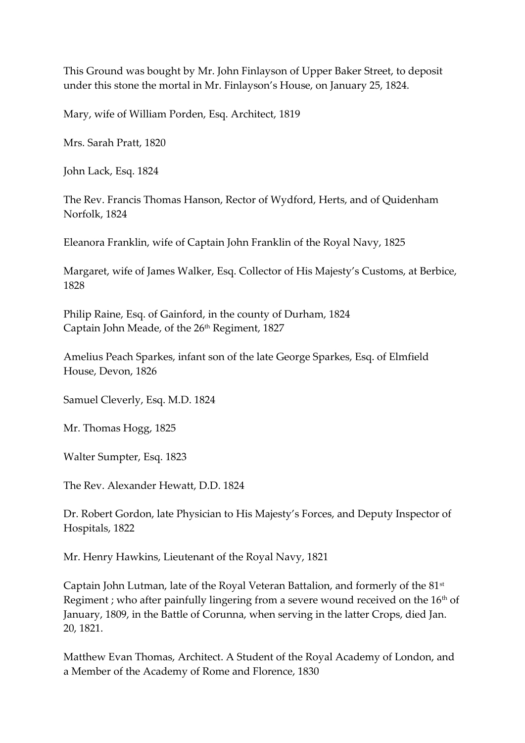This Ground was bought by Mr. John Finlayson of Upper Baker Street, to deposit under this stone the mortal in Mr. Finlayson's House, on January 25, 1824.

Mary, wife of William Porden, Esq. Architect, 1819

Mrs. Sarah Pratt, 1820

John Lack, Esq. 1824

The Rev. Francis Thomas Hanson, Rector of Wydford, Herts, and of Quidenham Norfolk, 1824

Eleanora Franklin, wife of Captain John Franklin of the Royal Navy, 1825

Margaret, wife of James Walker, Esq. Collector of His Majesty's Customs, at Berbice, 1828

Philip Raine, Esq. of Gainford, in the county of Durham, 1824 Captain John Meade, of the 26th Regiment, 1827

Amelius Peach Sparkes, infant son of the late George Sparkes, Esq. of Elmfield House, Devon, 1826

Samuel Cleverly, Esq. M.D. 1824

Mr. Thomas Hogg, 1825

Walter Sumpter, Esq. 1823

The Rev. Alexander Hewatt, D.D. 1824

Dr. Robert Gordon, late Physician to His Majesty's Forces, and Deputy Inspector of Hospitals, 1822

Mr. Henry Hawkins, Lieutenant of the Royal Navy, 1821

Captain John Lutman, late of the Royal Veteran Battalion, and formerly of the 81st Regiment ; who after painfully lingering from a severe wound received on the  $16<sup>th</sup>$  of January, 1809, in the Battle of Corunna, when serving in the latter Crops, died Jan. 20, 1821.

Matthew Evan Thomas, Architect. A Student of the Royal Academy of London, and a Member of the Academy of Rome and Florence, 1830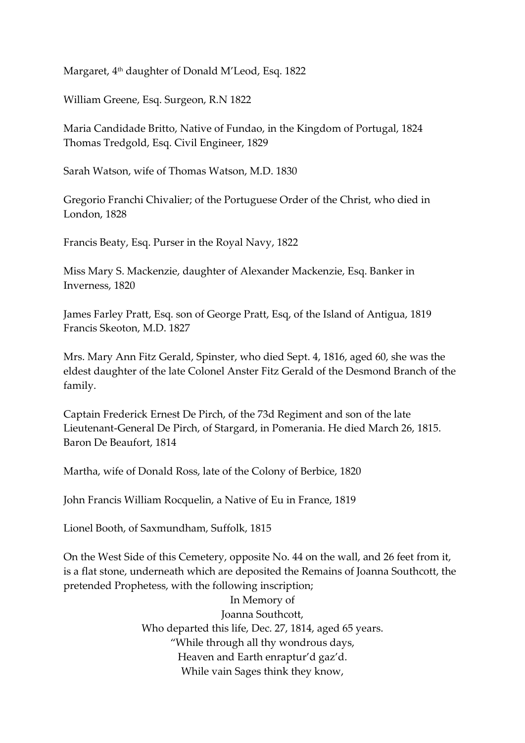Margaret, 4<sup>th</sup> daughter of Donald M'Leod, Esq. 1822

William Greene, Esq. Surgeon, R.N 1822

Maria Candidade Britto, Native of Fundao, in the Kingdom of Portugal, 1824 Thomas Tredgold, Esq. Civil Engineer, 1829

Sarah Watson, wife of Thomas Watson, M.D. 1830

Gregorio Franchi Chivalier; of the Portuguese Order of the Christ, who died in London, 1828

Francis Beaty, Esq. Purser in the Royal Navy, 1822

Miss Mary S. Mackenzie, daughter of Alexander Mackenzie, Esq. Banker in Inverness, 1820

James Farley Pratt, Esq. son of George Pratt, Esq, of the Island of Antigua, 1819 Francis Skeoton, M.D. 1827

Mrs. Mary Ann Fitz Gerald, Spinster, who died Sept. 4, 1816, aged 60, she was the eldest daughter of the late Colonel Anster Fitz Gerald of the Desmond Branch of the family.

Captain Frederick Ernest De Pirch, of the 73d Regiment and son of the late Lieutenant-General De Pirch, of Stargard, in Pomerania. He died March 26, 1815. Baron De Beaufort, 1814

Martha, wife of Donald Ross, late of the Colony of Berbice, 1820

John Francis William Rocquelin, a Native of Eu in France, 1819

Lionel Booth, of Saxmundham, Suffolk, 1815

On the West Side of this Cemetery, opposite No. 44 on the wall, and 26 feet from it, is a flat stone, underneath which are deposited the Remains of Joanna Southcott, the pretended Prophetess, with the following inscription;

> In Memory of Joanna Southcott, Who departed this life, Dec. 27, 1814, aged 65 years. "While through all thy wondrous days, Heaven and Earth enraptur'd gaz'd. While vain Sages think they know,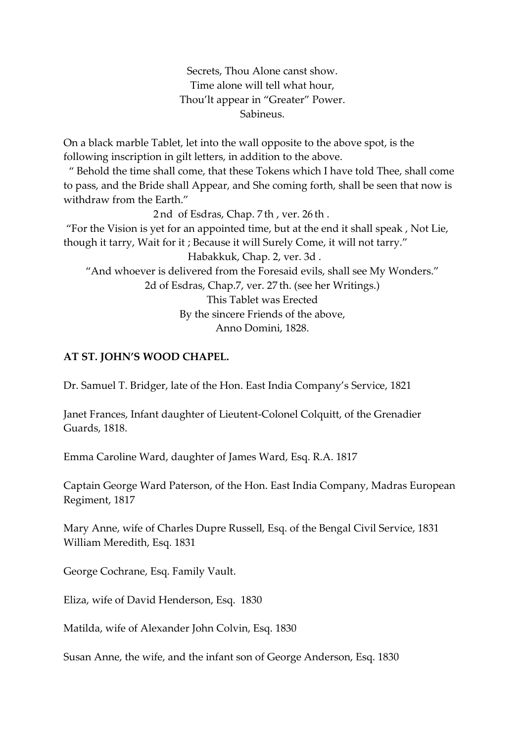Secrets, Thou Alone canst show. Time alone will tell what hour, Thou'lt appear in "Greater" Power. Sabineus.

On a black marble Tablet, let into the wall opposite to the above spot, is the following inscription in gilt letters, in addition to the above.

 " Behold the time shall come, that these Tokens which I have told Thee, shall come to pass, and the Bride shall Appear, and She coming forth, shall be seen that now is withdraw from the Earth."

 2 nd of Esdras, Chap. 7 th , ver. 26 th . "For the Vision is yet for an appointed time, but at the end it shall speak , Not Lie, though it tarry, Wait for it ; Because it will Surely Come, it will not tarry." Habakkuk, Chap. 2, ver. 3d . "And whoever is delivered from the Foresaid evils, shall see My Wonders." 2d of Esdras, Chap.7, ver. 27 th. (see her Writings.) This Tablet was Erected By the sincere Friends of the above,

Anno Domini, 1828.

## **AT ST. JOHN'S WOOD CHAPEL.**

Dr. Samuel T. Bridger, late of the Hon. East India Company's Service, 1821

Janet Frances, Infant daughter of Lieutent-Colonel Colquitt, of the Grenadier Guards, 1818.

Emma Caroline Ward, daughter of James Ward, Esq. R.A. 1817

Captain George Ward Paterson, of the Hon. East India Company, Madras European Regiment, 1817

Mary Anne, wife of Charles Dupre Russell, Esq. of the Bengal Civil Service, 1831 William Meredith, Esq. 1831

George Cochrane, Esq. Family Vault.

Eliza, wife of David Henderson, Esq. 1830

Matilda, wife of Alexander John Colvin, Esq. 1830

Susan Anne, the wife, and the infant son of George Anderson, Esq. 1830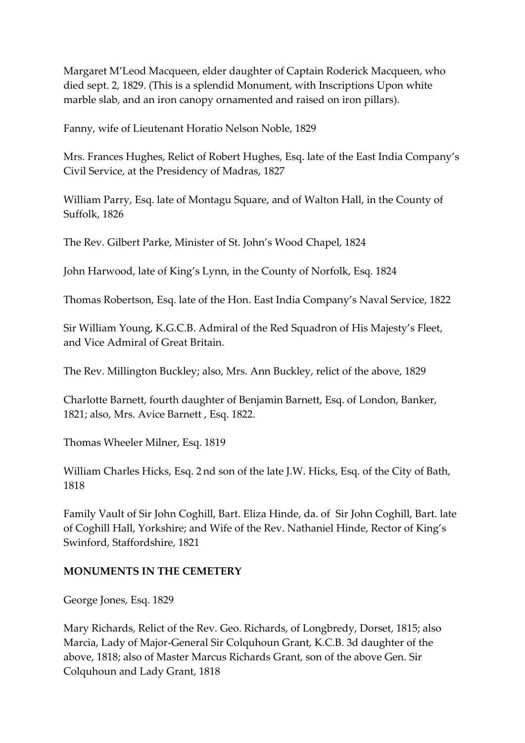Margaret M'Leod Macqueen, elder daughter of Captain Roderick Macqueen, who died sept. 2, 1829. (This is a splendid Monument, with Inscriptions Upon white marble slab, and an iron canopy ornamented and raised on iron pillars).

Fanny, wife of Lieutenant Horatio Nelson Noble, 1829

Mrs. Frances Hughes, Relict of Robert Hughes, Esq. late of the East India Company's Civil Service, at the Presidency of Madras, 1827

William Parry, Esq. late of Montagu Square, and of Walton Hall, in the County of Suffolk, 1826

The Rev. Gilbert Parke, Minister of St. John's Wood Chapel, 1824

John Harwood, late of King's Lynn, in the County of Norfolk, Esq. 1824

Thomas Robertson, Esq. late of the Hon. East India Company's Naval Service, 1822

Sir William Young, K.G.C.B. Admiral of the Red Squadron of His Majesty's Fleet, and Vice Admiral of Great Britain.

The Rev. Millington Buckley; also, Mrs. Ann Buckley, relict of the above, 1829

Charlotte Barnett, fourth daughter of Benjamin Barnett, Esq. of London, Banker, 1821; also, Mrs. Avice Barnett , Esq. 1822.

Thomas Wheeler Milner, Esq. 1819

William Charles Hicks, Esq. 2 nd son of the late J.W. Hicks, Esq. of the City of Bath, 1818

Family Vault of Sir John Coghill, Bart. Eliza Hinde, da. of Sir John Coghill, Bart. late of Coghill Hall, Yorkshire; and Wife of the Rev. Nathaniel Hinde, Rector of King's Swinford, Staffordshire, 1821

#### **MONUMENTS IN THE CEMETERY**

George Jones, Esq. 1829

Mary Richards, Relict of the Rev. Geo. Richards, of Longbredy, Dorset, 1815; also Marcia, Lady of Major-General Sir Colquhoun Grant, K.C.B. 3d daughter of the above, 1818; also of Master Marcus Richards Grant, son of the above Gen. Sir Colquhoun and Lady Grant, 1818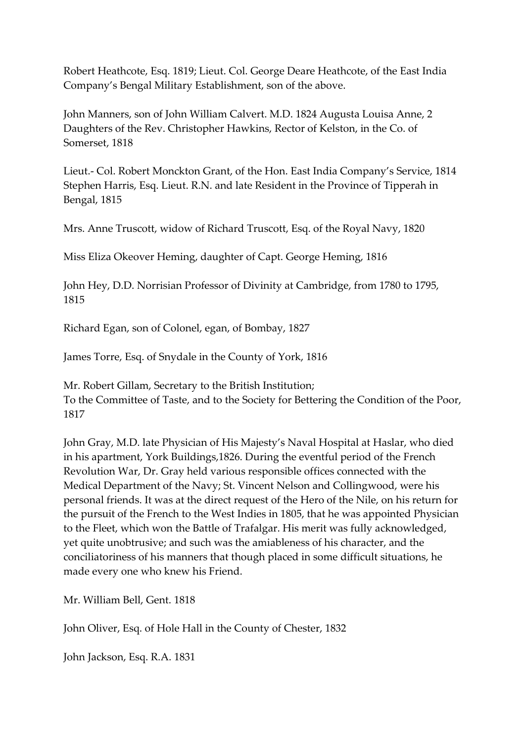Robert Heathcote, Esq. 1819; Lieut. Col. George Deare Heathcote, of the East India Company's Bengal Military Establishment, son of the above.

John Manners, son of John William Calvert. M.D. 1824 Augusta Louisa Anne, 2 Daughters of the Rev. Christopher Hawkins, Rector of Kelston, in the Co. of Somerset, 1818

Lieut.- Col. Robert Monckton Grant, of the Hon. East India Company's Service, 1814 Stephen Harris, Esq. Lieut. R.N. and late Resident in the Province of Tipperah in Bengal, 1815

Mrs. Anne Truscott, widow of Richard Truscott, Esq. of the Royal Navy, 1820

Miss Eliza Okeover Heming, daughter of Capt. George Heming, 1816

John Hey, D.D. Norrisian Professor of Divinity at Cambridge, from 1780 to 1795, 1815

Richard Egan, son of Colonel, egan, of Bombay, 1827

James Torre, Esq. of Snydale in the County of York, 1816

Mr. Robert Gillam, Secretary to the British Institution; To the Committee of Taste, and to the Society for Bettering the Condition of the Poor, 1817

John Gray, M.D. late Physician of His Majesty's Naval Hospital at Haslar, who died in his apartment, York Buildings,1826. During the eventful period of the French Revolution War, Dr. Gray held various responsible offices connected with the Medical Department of the Navy; St. Vincent Nelson and Collingwood, were his personal friends. It was at the direct request of the Hero of the Nile, on his return for the pursuit of the French to the West Indies in 1805, that he was appointed Physician to the Fleet, which won the Battle of Trafalgar. His merit was fully acknowledged, yet quite unobtrusive; and such was the amiableness of his character, and the conciliatoriness of his manners that though placed in some difficult situations, he made every one who knew his Friend.

Mr. William Bell, Gent. 1818

John Oliver, Esq. of Hole Hall in the County of Chester, 1832

John Jackson, Esq. R.A. 1831